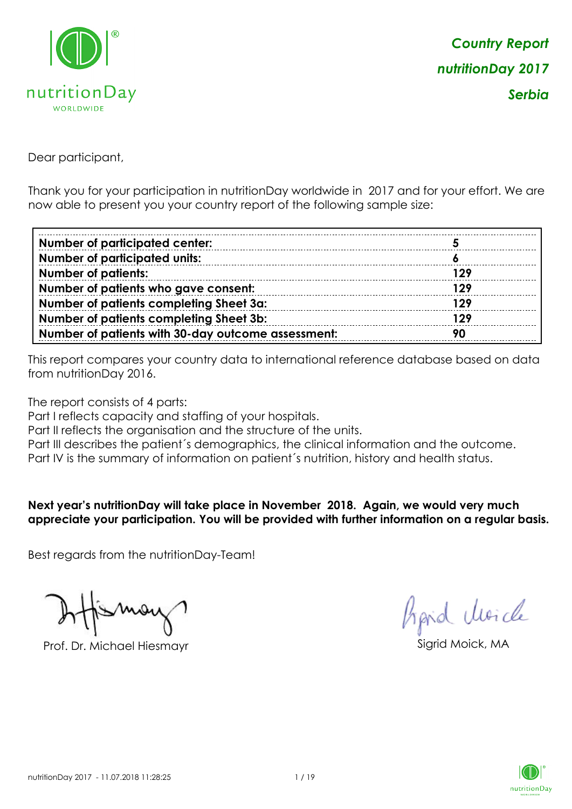

Dear participant,

Thank you for your participation in nutritionDay worldwide in 2017 and for your effort. We are now able to present you your country report of the following sample size:

| <b>Number of participated center:</b>              |            |
|----------------------------------------------------|------------|
| <b>Number of participated units:</b>               |            |
| <b>Number of patients:</b>                         | <b>129</b> |
| Number of patients who gave consent:               | <b>129</b> |
| Number of patients completing Sheet 3a:            | <b>129</b> |
| Number of patients completing Sheet 3b:            | <b>129</b> |
| Number of patients with 30-day outcome assessment: | -90        |

This report compares your country data to international reference database based on data from nutritionDay 2016.

The report consists of 4 parts:

Part I reflects capacity and staffing of your hospitals.

Part II reflects the organisation and the structure of the units.

Part III describes the patient's demographics, the clinical information and the outcome.

Part IV is the summary of information on patient´s nutrition, history and health status.

### **Next year's nutritionDay will take place in November 2018. Again, we would very much appreciate your participation. You will be provided with further information on a regular basis.**

Best regards from the nutritionDay-Team!

Prof. Dr. Michael Hiesmayr Sigrid Moick, MA

Aprid Unicle

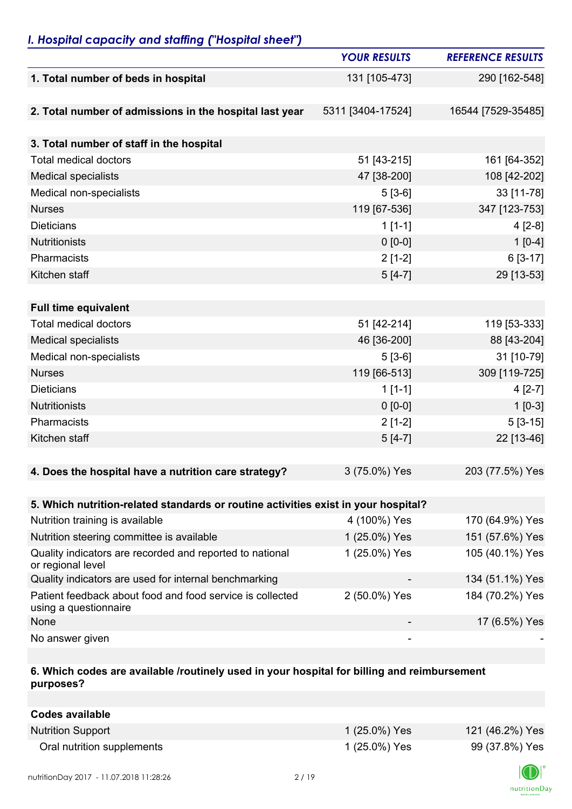# *YOUR RESULTS REFERENCE RESULTS* **1. Total number of beds in hospital** 131 [105-473] 290 [162-548] **2. Total number of admissions in the hospital last year** 5311 [3404-17524] 16544 [7529-35485] **3. Total number of staff in the hospital** Total medical doctors 161 [64-352] Medical specialists 108 [42-202] Medical non-specialists 33 [11-78] Nurses 119 [67-536] 347 [123-753] Dieticians 1 [1-1] 4 [2-8] Nutritionists 0 [0-0] 1 [0-4] Pharmacists 2 [1-2] 6 [3-17] Kitchen staff 5 [4-7] 29 [13-53] **Full time equivalent** Total medical doctors 61 [42-214] 119 [53-333] Medical specialists 46 [36-200] 88 [43-204] Medical non-specialists 31 [10-79] Nurses 119 [66-513] 309 [119-725] Dieticians 1 [1-1] 4 [2-7] Nutritionists 0 [0-0] 1 [0-3] Pharmacists 2 [1-2] 5 [3-15] Kitchen staff 5 [4-7] 22 [13-46] **4. Does the hospital have a nutrition care strategy?** 3 (75.0%) Yes 203 (77.5%) Yes **5. Which nutrition-related standards or routine activities exist in your hospital?** Nutrition training is available 170 (64.9%) Yes 170 (64.9%) Yes 170 (64.9%) Yes Nutrition steering committee is available 151 (57.6%) Yes 151 (57.6%) Yes 151 (57.6%) Quality indicators are recorded and reported to national or regional level 1 (25.0%) Yes 105 (40.1%) Yes Quality indicators are used for internal benchmarking 134 (51.1%) Yes 134 (51.1%) Yes Patient feedback about food and food service is collected 2 (50.0%) Yes 184 (70.2%) Yes

## *I. Hospital capacity and staffing ("Hospital sheet")*

using a questionnaire

#### **6. Which codes are available /routinely used in your hospital for billing and reimbursement purposes?**

| Codes available            |               |                 |
|----------------------------|---------------|-----------------|
| <b>Nutrition Support</b>   | 1 (25.0%) Yes | 121 (46.2%) Yes |
| Oral nutrition supplements | 1 (25.0%) Yes | 99 (37.8%) Yes  |

None - 17 (6.5%) Yes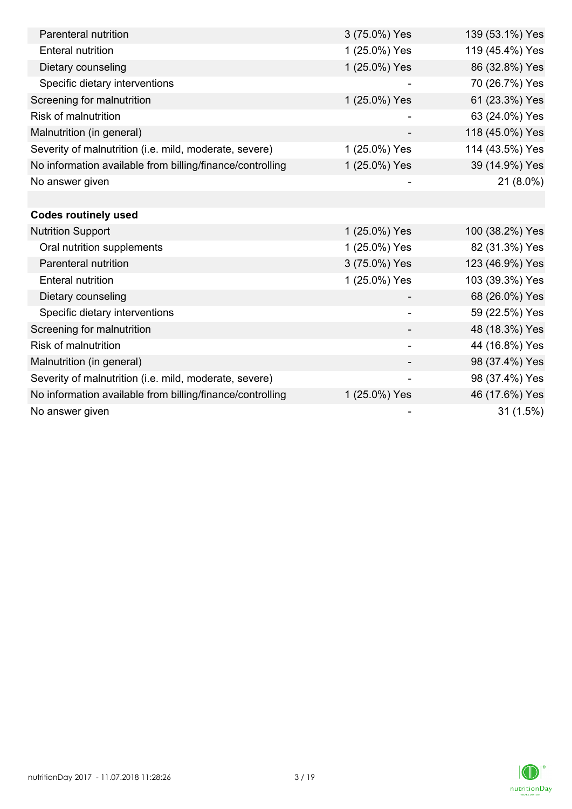| Parenteral nutrition                                      | 3 (75.0%) Yes | 139 (53.1%) Yes |
|-----------------------------------------------------------|---------------|-----------------|
| <b>Enteral nutrition</b>                                  | 1 (25.0%) Yes | 119 (45.4%) Yes |
| Dietary counseling                                        | 1 (25.0%) Yes | 86 (32.8%) Yes  |
| Specific dietary interventions                            |               | 70 (26.7%) Yes  |
| Screening for malnutrition                                | 1 (25.0%) Yes | 61 (23.3%) Yes  |
| Risk of malnutrition                                      |               | 63 (24.0%) Yes  |
| Malnutrition (in general)                                 |               | 118 (45.0%) Yes |
| Severity of malnutrition (i.e. mild, moderate, severe)    | 1 (25.0%) Yes | 114 (43.5%) Yes |
| No information available from billing/finance/controlling | 1 (25.0%) Yes | 39 (14.9%) Yes  |
| No answer given                                           |               | $21(8.0\%)$     |
|                                                           |               |                 |
| <b>Codes routinely used</b>                               |               |                 |
| <b>Nutrition Support</b>                                  | 1 (25.0%) Yes | 100 (38.2%) Yes |
| Oral nutrition supplements                                | 1 (25.0%) Yes | 82 (31.3%) Yes  |
| Parenteral nutrition                                      | 3 (75.0%) Yes | 123 (46.9%) Yes |
| <b>Enteral nutrition</b>                                  | 1 (25.0%) Yes | 103 (39.3%) Yes |
| Dietary counseling                                        |               | 68 (26.0%) Yes  |
| Specific dietary interventions                            |               | 59 (22.5%) Yes  |
| Screening for malnutrition                                |               | 48 (18.3%) Yes  |
| <b>Risk of malnutrition</b>                               |               | 44 (16.8%) Yes  |
| Malnutrition (in general)                                 |               | 98 (37.4%) Yes  |
| Severity of malnutrition (i.e. mild, moderate, severe)    |               | 98 (37.4%) Yes  |
| No information available from billing/finance/controlling | 1 (25.0%) Yes | 46 (17.6%) Yes  |
| No answer given                                           |               | 31(1.5%)        |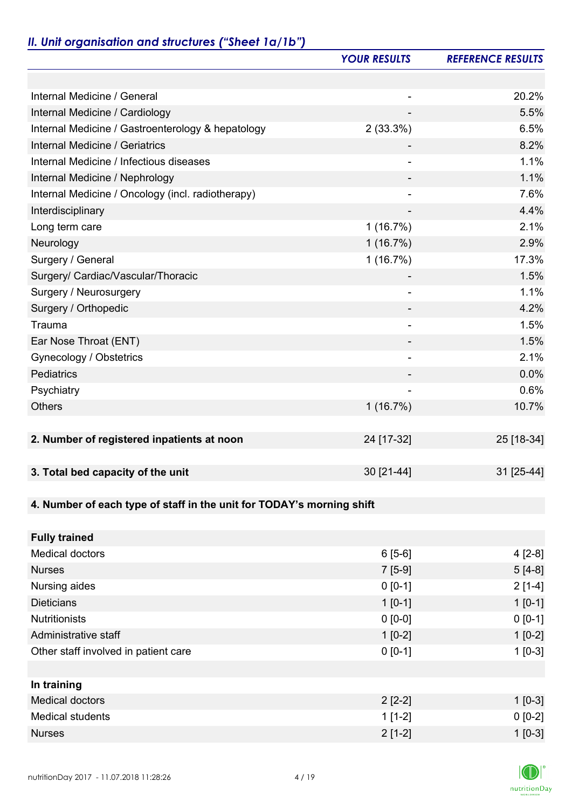# *II. Unit organisation and structures ("Sheet 1a/1b")*

|                                                                       | <b>YOUR RESULTS</b>          | <b>REFERENCE RESULTS</b> |
|-----------------------------------------------------------------------|------------------------------|--------------------------|
|                                                                       |                              |                          |
| Internal Medicine / General                                           |                              | 20.2%                    |
| Internal Medicine / Cardiology                                        | $\overline{\phantom{0}}$     | 5.5%                     |
| Internal Medicine / Gastroenterology & hepatology                     | 2(33.3%)                     | 6.5%                     |
| <b>Internal Medicine / Geriatrics</b>                                 |                              | 8.2%                     |
| Internal Medicine / Infectious diseases                               |                              | 1.1%                     |
| Internal Medicine / Nephrology                                        |                              | 1.1%                     |
| Internal Medicine / Oncology (incl. radiotherapy)                     | $\qquad \qquad \blacksquare$ | 7.6%                     |
| Interdisciplinary                                                     |                              | 4.4%                     |
| Long term care                                                        | 1(16.7%)                     | 2.1%                     |
| Neurology                                                             | 1(16.7%)                     | 2.9%                     |
| Surgery / General                                                     | 1(16.7%)                     | 17.3%                    |
| Surgery/ Cardiac/Vascular/Thoracic                                    |                              | 1.5%                     |
| Surgery / Neurosurgery                                                |                              | 1.1%                     |
| Surgery / Orthopedic                                                  |                              | 4.2%                     |
| Trauma                                                                | $\overline{\phantom{a}}$     | 1.5%                     |
| Ear Nose Throat (ENT)                                                 |                              | 1.5%                     |
| Gynecology / Obstetrics                                               |                              | 2.1%                     |
| <b>Pediatrics</b>                                                     |                              | 0.0%                     |
| Psychiatry                                                            |                              | 0.6%                     |
| <b>Others</b>                                                         | 1(16.7%)                     | 10.7%                    |
|                                                                       |                              |                          |
| 2. Number of registered inpatients at noon                            | 24 [17-32]                   | 25 [18-34]               |
|                                                                       |                              |                          |
| 3. Total bed capacity of the unit                                     | 30 [21-44]                   | 31 [25-44]               |
|                                                                       |                              |                          |
| 4. Number of each type of staff in the unit for TODAY's morning shift |                              |                          |
|                                                                       |                              |                          |
| <b>Fully trained</b>                                                  |                              |                          |
| Medical doctors                                                       | $6[5-6]$                     | $4[2-8]$                 |
| <b>Nurses</b>                                                         | $7[5-9]$                     | $5[4-8]$                 |
| Nursing aides                                                         | $0 [0-1]$                    | $2[1-4]$                 |
| <b>Dieticians</b>                                                     | $1 [0-1]$                    | $1[0-1]$                 |
| <b>Nutritionists</b>                                                  | $0 [0-0]$                    | $0 [0-1]$                |
| Administrative staff                                                  | $1 [0-2]$                    | $1[0-2]$                 |
| Other staff involved in patient care                                  | $0 [0-1]$                    | $1[0-3]$                 |
|                                                                       |                              |                          |
| In training                                                           |                              |                          |
| Medical doctors                                                       | $2[2-2]$                     | $1$ [0-3]                |
| <b>Medical students</b>                                               | $1[1-2]$                     | $0 [0-2]$                |
| <b>Nurses</b>                                                         | $2[1-2]$                     | $1 [0-3]$                |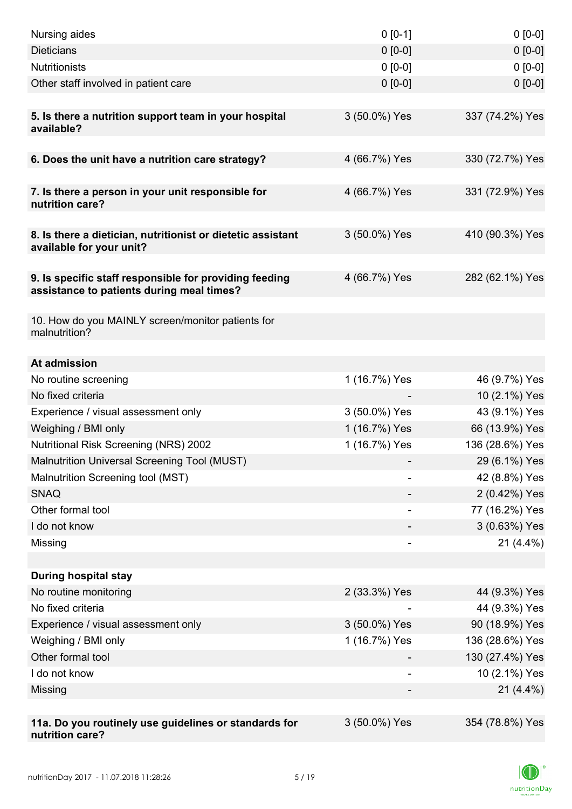| Nursing aides                                                                           | $0 [0-1]$     | $0[0-0]$        |
|-----------------------------------------------------------------------------------------|---------------|-----------------|
| <b>Dieticians</b>                                                                       | $0 [0-0]$     | $0 [0-0]$       |
| <b>Nutritionists</b>                                                                    | $0 [0-0]$     | $0[0-0]$        |
| Other staff involved in patient care                                                    | $0 [0-0]$     | $0 [0-0]$       |
|                                                                                         |               |                 |
| 5. Is there a nutrition support team in your hospital<br>available?                     | 3 (50.0%) Yes | 337 (74.2%) Yes |
| 6. Does the unit have a nutrition care strategy?                                        | 4 (66.7%) Yes | 330 (72.7%) Yes |
|                                                                                         |               |                 |
| 7. Is there a person in your unit responsible for<br>nutrition care?                    | 4 (66.7%) Yes | 331 (72.9%) Yes |
| 8. Is there a dietician, nutritionist or dietetic assistant<br>available for your unit? | 3 (50.0%) Yes | 410 (90.3%) Yes |
| 9. Is specific staff responsible for providing feeding                                  | 4 (66.7%) Yes | 282 (62.1%) Yes |
| assistance to patients during meal times?                                               |               |                 |
| 10. How do you MAINLY screen/monitor patients for<br>malnutrition?                      |               |                 |
| At admission                                                                            |               |                 |
| No routine screening                                                                    | 1 (16.7%) Yes | 46 (9.7%) Yes   |
| No fixed criteria                                                                       |               | 10 (2.1%) Yes   |
| Experience / visual assessment only                                                     | 3 (50.0%) Yes | 43 (9.1%) Yes   |
| Weighing / BMI only                                                                     | 1 (16.7%) Yes | 66 (13.9%) Yes  |
| Nutritional Risk Screening (NRS) 2002                                                   | 1 (16.7%) Yes | 136 (28.6%) Yes |
| Malnutrition Universal Screening Tool (MUST)                                            |               | 29 (6.1%) Yes   |
| Malnutrition Screening tool (MST)                                                       |               | 42 (8.8%) Yes   |
| <b>SNAQ</b>                                                                             |               | 2 (0.42%) Yes   |
| Other formal tool                                                                       |               | 77 (16.2%) Yes  |
| I do not know                                                                           |               | 3 (0.63%) Yes   |
| Missing                                                                                 |               | $21(4.4\%)$     |
|                                                                                         |               |                 |
| <b>During hospital stay</b>                                                             |               |                 |
| No routine monitoring                                                                   | 2 (33.3%) Yes | 44 (9.3%) Yes   |
| No fixed criteria                                                                       |               | 44 (9.3%) Yes   |
| Experience / visual assessment only                                                     | 3 (50.0%) Yes | 90 (18.9%) Yes  |
| Weighing / BMI only                                                                     | 1 (16.7%) Yes | 136 (28.6%) Yes |
| Other formal tool                                                                       |               | 130 (27.4%) Yes |
| I do not know                                                                           |               | 10 (2.1%) Yes   |
| Missing                                                                                 |               | $21(4.4\%)$     |
|                                                                                         |               |                 |
| 11a. Do you routinely use guidelines or standards for<br>nutrition care?                | 3 (50.0%) Yes | 354 (78.8%) Yes |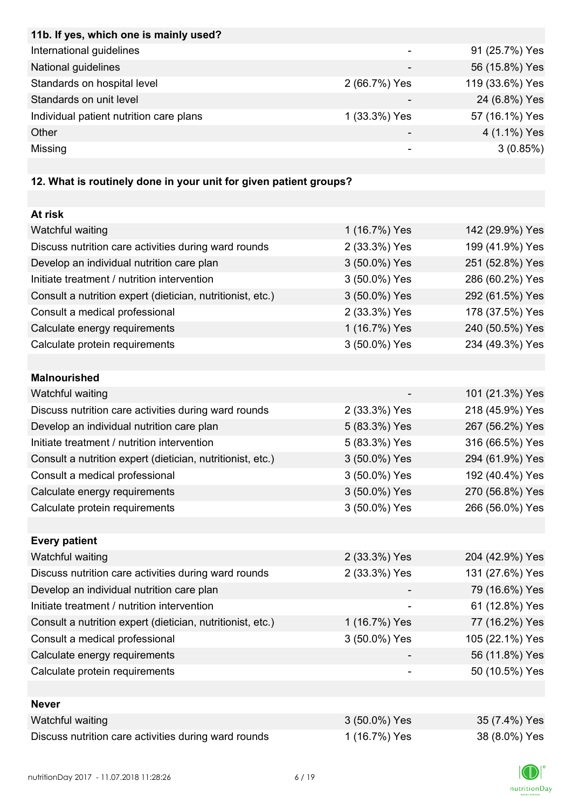| 11b. If yes, which one is mainly used?                            |                              |                 |
|-------------------------------------------------------------------|------------------------------|-----------------|
| International guidelines                                          | $\qquad \qquad \blacksquare$ | 91 (25.7%) Yes  |
| National guidelines                                               |                              | 56 (15.8%) Yes  |
| Standards on hospital level                                       | 2 (66.7%) Yes                | 119 (33.6%) Yes |
| Standards on unit level                                           |                              | 24 (6.8%) Yes   |
| Individual patient nutrition care plans                           | 1 (33.3%) Yes                | 57 (16.1%) Yes  |
| Other                                                             |                              | 4 (1.1%) Yes    |
| Missing                                                           |                              | 3(0.85%)        |
|                                                                   |                              |                 |
| 12. What is routinely done in your unit for given patient groups? |                              |                 |
|                                                                   |                              |                 |
| At risk                                                           |                              |                 |
| Watchful waiting                                                  | 1 (16.7%) Yes                | 142 (29.9%) Yes |
| Discuss nutrition care activities during ward rounds              | 2 (33.3%) Yes                | 199 (41.9%) Yes |
| Develop an individual nutrition care plan                         | 3 (50.0%) Yes                | 251 (52.8%) Yes |
| Initiate treatment / nutrition intervention                       | 3 (50.0%) Yes                | 286 (60.2%) Yes |
| Consult a nutrition expert (dietician, nutritionist, etc.)        | 3 (50.0%) Yes                | 292 (61.5%) Yes |
| Consult a medical professional                                    | 2 (33.3%) Yes                | 178 (37.5%) Yes |
| Calculate energy requirements                                     | 1 (16.7%) Yes                | 240 (50.5%) Yes |
| Calculate protein requirements                                    | 3 (50.0%) Yes                | 234 (49.3%) Yes |
|                                                                   |                              |                 |
| <b>Malnourished</b>                                               |                              |                 |
| Watchful waiting                                                  |                              | 101 (21.3%) Yes |
| Discuss nutrition care activities during ward rounds              | 2 (33.3%) Yes                | 218 (45.9%) Yes |
| Develop an individual nutrition care plan                         | 5 (83.3%) Yes                | 267 (56.2%) Yes |
| Initiate treatment / nutrition intervention                       | 5 (83.3%) Yes                | 316 (66.5%) Yes |
| Consult a nutrition expert (dietician, nutritionist, etc.)        | 3 (50.0%) Yes                | 294 (61.9%) Yes |
| Consult a medical professional                                    | 3 (50.0%) Yes                | 192 (40.4%) Yes |
| Calculate energy requirements                                     | 3 (50.0%) Yes                | 270 (56.8%) Yes |
| Calculate protein requirements                                    | 3 (50.0%) Yes                | 266 (56.0%) Yes |
|                                                                   |                              |                 |
| <b>Every patient</b>                                              |                              |                 |
| Watchful waiting                                                  | 2 (33.3%) Yes                | 204 (42.9%) Yes |
| Discuss nutrition care activities during ward rounds              | 2 (33.3%) Yes                | 131 (27.6%) Yes |
| Develop an individual nutrition care plan                         |                              | 79 (16.6%) Yes  |
| Initiate treatment / nutrition intervention                       |                              | 61 (12.8%) Yes  |
| Consult a nutrition expert (dietician, nutritionist, etc.)        | 1 (16.7%) Yes                | 77 (16.2%) Yes  |
| Consult a medical professional                                    | 3 (50.0%) Yes                | 105 (22.1%) Yes |
| Calculate energy requirements                                     |                              | 56 (11.8%) Yes  |
| Calculate protein requirements                                    |                              | 50 (10.5%) Yes  |
|                                                                   |                              |                 |
| <b>Never</b>                                                      |                              |                 |
| Watchful waiting                                                  | 3 (50.0%) Yes                | 35 (7.4%) Yes   |
| Discuss nutrition care activities during ward rounds              | 1 (16.7%) Yes                | 38 (8.0%) Yes   |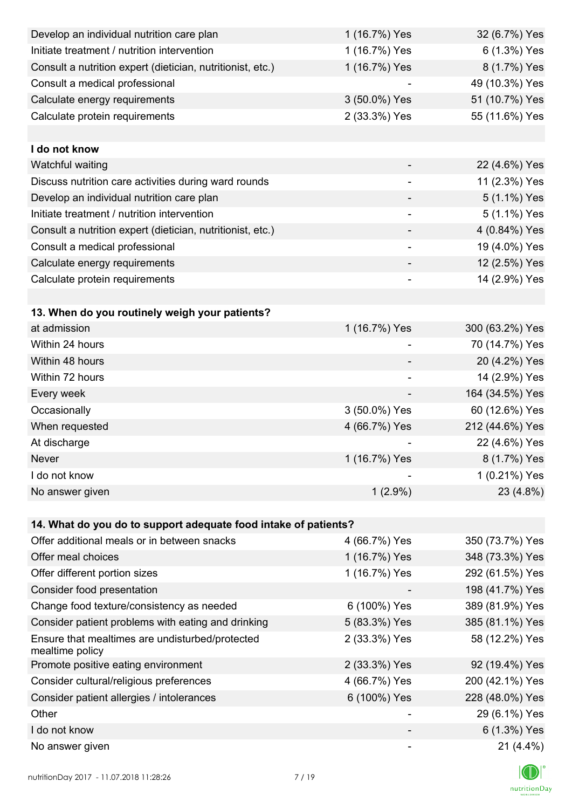| Develop an individual nutrition care plan                          | 1 (16.7%) Yes            | 32 (6.7%) Yes   |
|--------------------------------------------------------------------|--------------------------|-----------------|
| Initiate treatment / nutrition intervention                        | 1 (16.7%) Yes            | 6 (1.3%) Yes    |
| Consult a nutrition expert (dietician, nutritionist, etc.)         | 1 (16.7%) Yes            | 8 (1.7%) Yes    |
| Consult a medical professional                                     |                          | 49 (10.3%) Yes  |
| Calculate energy requirements                                      | 3 (50.0%) Yes            | 51 (10.7%) Yes  |
| Calculate protein requirements                                     | 2 (33.3%) Yes            | 55 (11.6%) Yes  |
|                                                                    |                          |                 |
| I do not know                                                      |                          |                 |
| Watchful waiting                                                   |                          | 22 (4.6%) Yes   |
| Discuss nutrition care activities during ward rounds               | $\overline{\phantom{a}}$ | 11 (2.3%) Yes   |
| Develop an individual nutrition care plan                          |                          | 5 (1.1%) Yes    |
| Initiate treatment / nutrition intervention                        | $\overline{\phantom{a}}$ | 5 (1.1%) Yes    |
| Consult a nutrition expert (dietician, nutritionist, etc.)         |                          | 4 (0.84%) Yes   |
| Consult a medical professional                                     |                          | 19 (4.0%) Yes   |
| Calculate energy requirements                                      |                          | 12 (2.5%) Yes   |
| Calculate protein requirements                                     | ٠                        | 14 (2.9%) Yes   |
|                                                                    |                          |                 |
| 13. When do you routinely weigh your patients?                     |                          |                 |
| at admission                                                       | 1 (16.7%) Yes            | 300 (63.2%) Yes |
| Within 24 hours                                                    |                          | 70 (14.7%) Yes  |
| Within 48 hours                                                    |                          | 20 (4.2%) Yes   |
| Within 72 hours                                                    | $\overline{\phantom{a}}$ | 14 (2.9%) Yes   |
| Every week                                                         | -                        | 164 (34.5%) Yes |
| Occasionally                                                       | 3 (50.0%) Yes            | 60 (12.6%) Yes  |
| When requested                                                     | 4 (66.7%) Yes            | 212 (44.6%) Yes |
| At discharge                                                       |                          | 22 (4.6%) Yes   |
| Never                                                              | 1 (16.7%) Yes            | 8 (1.7%) Yes    |
| I do not know                                                      |                          | 1 (0.21%) Yes   |
| No answer given                                                    | $1(2.9\%)$               | 23 (4.8%)       |
|                                                                    |                          |                 |
| 14. What do you do to support adequate food intake of patients?    |                          |                 |
| Offer additional meals or in between snacks                        | 4 (66.7%) Yes            | 350 (73.7%) Yes |
| Offer meal choices                                                 | 1 (16.7%) Yes            | 348 (73.3%) Yes |
| Offer different portion sizes                                      | 1 (16.7%) Yes            | 292 (61.5%) Yes |
| Consider food presentation                                         |                          | 198 (41.7%) Yes |
| Change food texture/consistency as needed                          | 6 (100%) Yes             | 389 (81.9%) Yes |
| Consider patient problems with eating and drinking                 | 5 (83.3%) Yes            | 385 (81.1%) Yes |
| Ensure that mealtimes are undisturbed/protected<br>mealtime policy | 2 (33.3%) Yes            | 58 (12.2%) Yes  |
| Promote positive eating environment                                | 2 (33.3%) Yes            | 92 (19.4%) Yes  |
| Consider cultural/religious preferences                            | 4 (66.7%) Yes            | 200 (42.1%) Yes |
| Consider patient allergies / intolerances                          | 6 (100%) Yes             | 228 (48.0%) Yes |
| Other                                                              |                          | 29 (6.1%) Yes   |
| I do not know                                                      |                          | 6 (1.3%) Yes    |
| No answer given                                                    | -                        | $21(4.4\%)$     |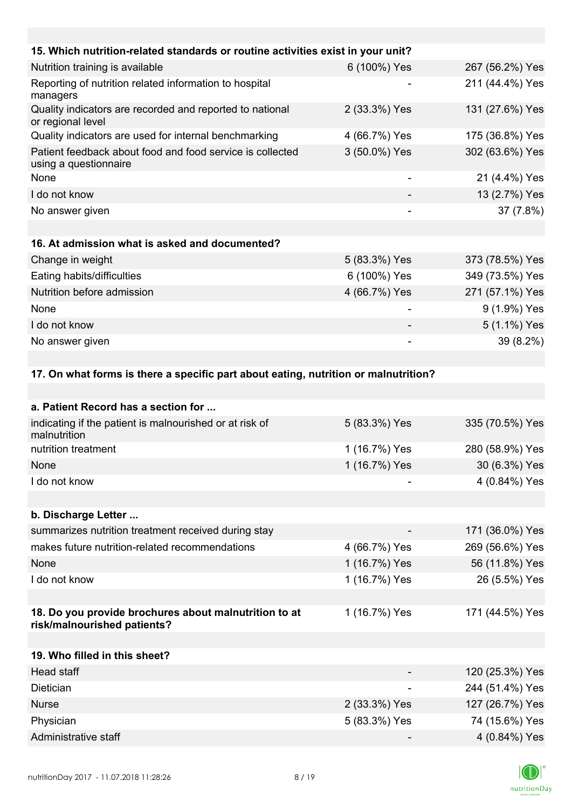| 15. Which nutrition-related standards or routine activities exist in your unit?      |               |                 |
|--------------------------------------------------------------------------------------|---------------|-----------------|
| Nutrition training is available                                                      | 6 (100%) Yes  | 267 (56.2%) Yes |
| Reporting of nutrition related information to hospital<br>managers                   |               | 211 (44.4%) Yes |
| Quality indicators are recorded and reported to national<br>or regional level        | 2 (33.3%) Yes | 131 (27.6%) Yes |
| Quality indicators are used for internal benchmarking                                | 4 (66.7%) Yes | 175 (36.8%) Yes |
| Patient feedback about food and food service is collected<br>using a questionnaire   | 3 (50.0%) Yes | 302 (63.6%) Yes |
| None                                                                                 | ٠             | 21 (4.4%) Yes   |
| I do not know                                                                        |               | 13 (2.7%) Yes   |
| No answer given                                                                      |               | 37 (7.8%)       |
|                                                                                      |               |                 |
| 16. At admission what is asked and documented?                                       |               |                 |
| Change in weight                                                                     | 5 (83.3%) Yes | 373 (78.5%) Yes |
| Eating habits/difficulties                                                           | 6 (100%) Yes  | 349 (73.5%) Yes |
| Nutrition before admission                                                           | 4 (66.7%) Yes | 271 (57.1%) Yes |
| None                                                                                 |               | 9 (1.9%) Yes    |
| I do not know                                                                        |               | 5 (1.1%) Yes    |
| No answer given                                                                      |               | 39 (8.2%)       |
|                                                                                      |               |                 |
| 17. On what forms is there a specific part about eating, nutrition or malnutrition?  |               |                 |
| a. Patient Record has a section for                                                  |               |                 |
| indicating if the patient is malnourished or at risk of<br>malnutrition              | 5 (83.3%) Yes | 335 (70.5%) Yes |
| nutrition treatment                                                                  | 1 (16.7%) Yes | 280 (58.9%) Yes |
| None                                                                                 | 1 (16.7%) Yes | 30 (6.3%) Yes   |
| I do not know                                                                        |               | 4 (0.84%) Yes   |
|                                                                                      |               |                 |
| b. Discharge Letter                                                                  |               |                 |
| summarizes nutrition treatment received during stay                                  |               | 171 (36.0%) Yes |
| makes future nutrition-related recommendations                                       | 4 (66.7%) Yes | 269 (56.6%) Yes |
| None                                                                                 | 1 (16.7%) Yes | 56 (11.8%) Yes  |
| I do not know                                                                        | 1 (16.7%) Yes | 26 (5.5%) Yes   |
|                                                                                      |               |                 |
| 18. Do you provide brochures about malnutrition to at<br>risk/malnourished patients? | 1 (16.7%) Yes | 171 (44.5%) Yes |
|                                                                                      |               |                 |
| 19. Who filled in this sheet?                                                        |               |                 |
| Head staff                                                                           |               | 120 (25.3%) Yes |
| Dietician                                                                            |               | 244 (51.4%) Yes |
| <b>Nurse</b>                                                                         | 2 (33.3%) Yes | 127 (26.7%) Yes |
| Physician                                                                            | 5 (83.3%) Yes | 74 (15.6%) Yes  |
| Administrative staff                                                                 |               | 4 (0.84%) Yes   |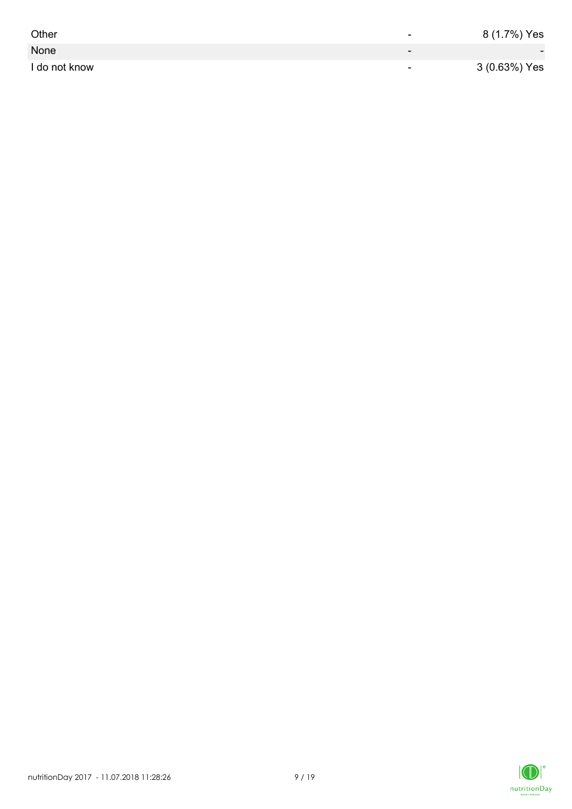| Other         | -                        | 8 (1.7%) Yes             |
|---------------|--------------------------|--------------------------|
| None          | -                        | $\overline{\phantom{0}}$ |
| I do not know | $\overline{\phantom{0}}$ | 3 (0.63%) Yes            |

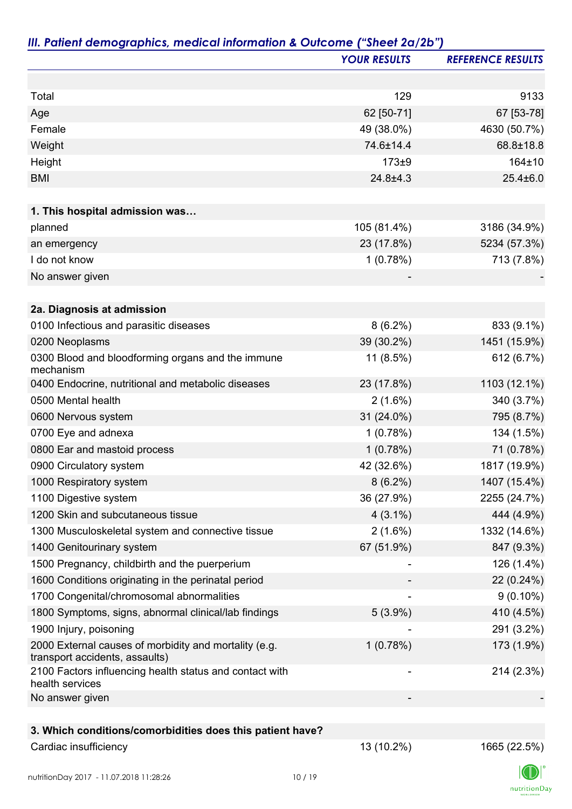|                                                                                         | <b>YOUR RESULTS</b>      | <b>REFERENCE RESULTS</b> |
|-----------------------------------------------------------------------------------------|--------------------------|--------------------------|
|                                                                                         |                          |                          |
| Total                                                                                   | 129                      | 9133                     |
| Age                                                                                     | 62 [50-71]               | 67 [53-78]               |
| Female                                                                                  | 49 (38.0%)               | 4630 (50.7%)             |
| Weight                                                                                  | 74.6±14.4                | 68.8±18.8                |
| Height                                                                                  | $173 + 9$                | 164±10                   |
| <b>BMI</b>                                                                              | 24.8±4.3                 | $25.4 \pm 6.0$           |
| 1. This hospital admission was                                                          |                          |                          |
| planned                                                                                 | 105 (81.4%)              | 3186 (34.9%)             |
| an emergency                                                                            | 23 (17.8%)               | 5234 (57.3%)             |
| I do not know                                                                           | 1(0.78%)                 | 713 (7.8%)               |
| No answer given                                                                         |                          |                          |
| 2a. Diagnosis at admission                                                              |                          |                          |
| 0100 Infectious and parasitic diseases                                                  | $8(6.2\%)$               | 833 (9.1%)               |
| 0200 Neoplasms                                                                          | 39 (30.2%)               | 1451 (15.9%)             |
| 0300 Blood and bloodforming organs and the immune<br>mechanism                          | 11 (8.5%)                | 612 (6.7%)               |
| 0400 Endocrine, nutritional and metabolic diseases                                      | 23 (17.8%)               | 1103 (12.1%)             |
| 0500 Mental health                                                                      | $2(1.6\%)$               | 340 (3.7%)               |
| 0600 Nervous system                                                                     | 31 (24.0%)               | 795 (8.7%)               |
| 0700 Eye and adnexa                                                                     | 1(0.78%)                 | 134 (1.5%)               |
| 0800 Ear and mastoid process                                                            | 1(0.78%)                 | 71 (0.78%)               |
| 0900 Circulatory system                                                                 | 42 (32.6%)               | 1817 (19.9%)             |
| 1000 Respiratory system                                                                 | $8(6.2\%)$               | 1407 (15.4%)             |
| 1100 Digestive system                                                                   | 36 (27.9%)               | 2255 (24.7%)             |
| 1200 Skin and subcutaneous tissue                                                       | $4(3.1\%)$               | 444 (4.9%)               |
| 1300 Musculoskeletal system and connective tissue                                       | $2(1.6\%)$               | 1332 (14.6%)             |
| 1400 Genitourinary system                                                               | 67 (51.9%)               | 847 (9.3%)               |
| 1500 Pregnancy, childbirth and the puerperium                                           |                          | 126 (1.4%)               |
| 1600 Conditions originating in the perinatal period                                     |                          | 22 (0.24%)               |
| 1700 Congenital/chromosomal abnormalities                                               |                          | $9(0.10\%)$              |
| 1800 Symptoms, signs, abnormal clinical/lab findings                                    | $5(3.9\%)$               | 410 (4.5%)               |
| 1900 Injury, poisoning                                                                  |                          | 291 (3.2%)               |
| 2000 External causes of morbidity and mortality (e.g.<br>transport accidents, assaults) | 1(0.78%)                 | 173 (1.9%)               |
| 2100 Factors influencing health status and contact with<br>health services              | $\overline{\phantom{a}}$ | 214 (2.3%)               |
| No answer given                                                                         |                          |                          |
|                                                                                         |                          |                          |
| 3. Which conditions/comorbidities does this patient have?                               |                          |                          |
| Cardiac insufficiency                                                                   | 13 (10.2%)               | 1665 (22.5%)             |

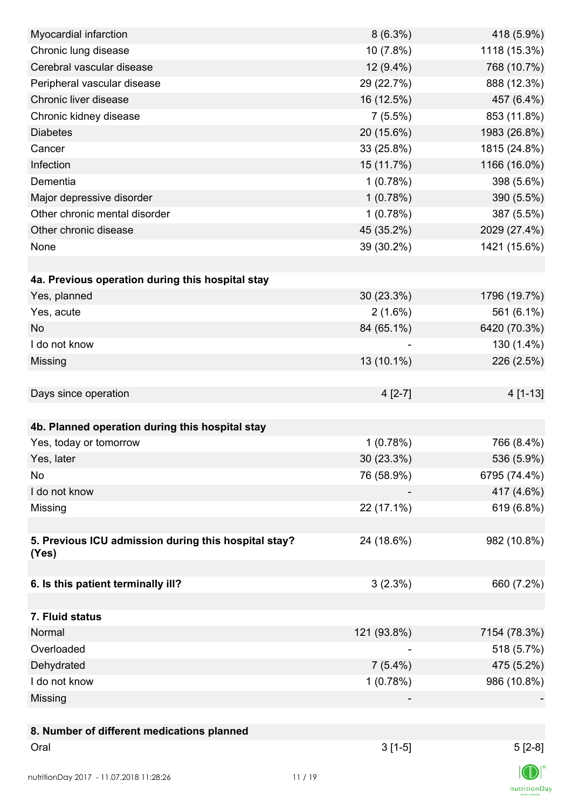| Myocardial infarction                                         | $8(6.3\%)$  | 418 (5.9%)   |
|---------------------------------------------------------------|-------------|--------------|
| Chronic lung disease                                          | 10 (7.8%)   | 1118 (15.3%) |
| Cerebral vascular disease                                     | 12 (9.4%)   | 768 (10.7%)  |
| Peripheral vascular disease                                   | 29 (22.7%)  | 888 (12.3%)  |
| Chronic liver disease                                         | 16 (12.5%)  | 457 (6.4%)   |
| Chronic kidney disease                                        | $7(5.5\%)$  | 853 (11.8%)  |
| <b>Diabetes</b>                                               | 20 (15.6%)  | 1983 (26.8%) |
| Cancer                                                        | 33 (25.8%)  | 1815 (24.8%) |
| Infection                                                     | 15 (11.7%)  | 1166 (16.0%) |
| Dementia                                                      | 1(0.78%)    | 398 (5.6%)   |
| Major depressive disorder                                     | 1(0.78%)    | 390 (5.5%)   |
| Other chronic mental disorder                                 | 1(0.78%)    | 387 (5.5%)   |
| Other chronic disease                                         | 45 (35.2%)  | 2029 (27.4%) |
| None                                                          | 39 (30.2%)  | 1421 (15.6%) |
|                                                               |             |              |
| 4a. Previous operation during this hospital stay              |             |              |
| Yes, planned                                                  | 30 (23.3%)  | 1796 (19.7%) |
| Yes, acute                                                    | $2(1.6\%)$  | 561 (6.1%)   |
| <b>No</b>                                                     | 84 (65.1%)  | 6420 (70.3%) |
| I do not know                                                 |             | 130 (1.4%)   |
| Missing                                                       | 13 (10.1%)  | 226 (2.5%)   |
|                                                               |             |              |
| Days since operation                                          | $4[2-7]$    | $4[1-13]$    |
|                                                               |             |              |
| 4b. Planned operation during this hospital stay               |             |              |
| Yes, today or tomorrow                                        | 1(0.78%)    | 766 (8.4%)   |
| Yes, later                                                    | 30 (23.3%)  | 536 (5.9%)   |
| No                                                            | 76 (58.9%)  | 6795 (74.4%) |
| I do not know                                                 |             | 417 (4.6%)   |
| Missing                                                       | 22 (17.1%)  | 619 (6.8%)   |
|                                                               |             |              |
|                                                               | 24 (18.6%)  | 982 (10.8%)  |
| 5. Previous ICU admission during this hospital stay?<br>(Yes) |             |              |
|                                                               |             |              |
| 6. Is this patient terminally ill?                            | 3(2.3%)     | 660 (7.2%)   |
|                                                               |             |              |
| 7. Fluid status                                               |             |              |
| Normal                                                        | 121 (93.8%) | 7154 (78.3%) |
| Overloaded                                                    |             | 518 (5.7%)   |
| Dehydrated                                                    | $7(5.4\%)$  | 475 (5.2%)   |
| I do not know                                                 | 1(0.78%)    | 986 (10.8%)  |
| Missing                                                       |             |              |
|                                                               |             |              |
| 8. Number of different medications planned                    |             |              |
| Oral                                                          | $3[1-5]$    | $5[2-8]$     |
|                                                               |             |              |
| nutritionDay 2017 - 11.07.2018 11:28:26                       | 11/19       |              |

 $\mathsf{n}$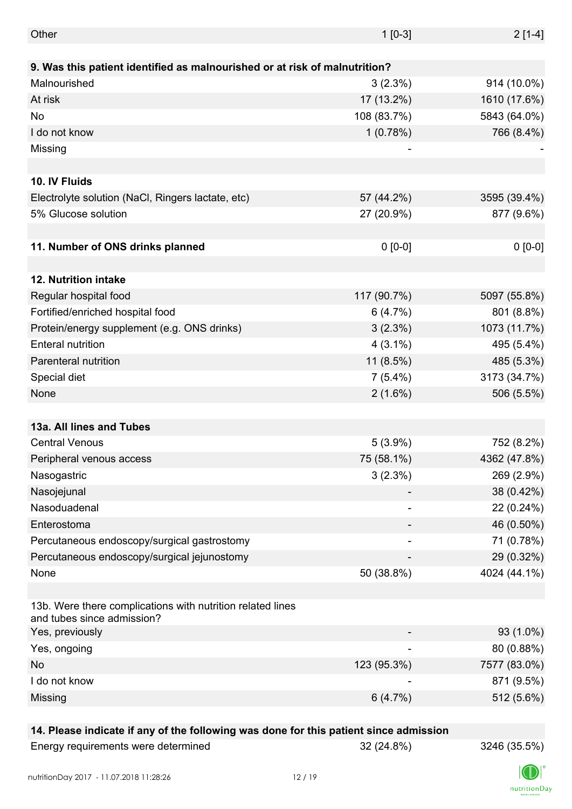| Other                                                                                    | $1$ [0-3]   | $2[1-4]$     |
|------------------------------------------------------------------------------------------|-------------|--------------|
|                                                                                          |             |              |
| 9. Was this patient identified as malnourished or at risk of malnutrition?               |             |              |
| Malnourished                                                                             | $3(2.3\%)$  | 914 (10.0%)  |
| At risk                                                                                  | 17 (13.2%)  | 1610 (17.6%) |
| <b>No</b>                                                                                | 108 (83.7%) | 5843 (64.0%) |
| I do not know                                                                            | 1(0.78%)    | 766 (8.4%)   |
| Missing                                                                                  |             |              |
|                                                                                          |             |              |
| 10. IV Fluids                                                                            |             |              |
| Electrolyte solution (NaCl, Ringers lactate, etc)                                        | 57 (44.2%)  | 3595 (39.4%) |
| 5% Glucose solution                                                                      | 27 (20.9%)  | 877 (9.6%)   |
|                                                                                          |             |              |
| 11. Number of ONS drinks planned                                                         | $0$ [0-0]   | $0 [0-0]$    |
|                                                                                          |             |              |
| 12. Nutrition intake                                                                     |             |              |
| Regular hospital food                                                                    | 117 (90.7%) | 5097 (55.8%) |
| Fortified/enriched hospital food                                                         | 6(4.7%)     | 801 (8.8%)   |
| Protein/energy supplement (e.g. ONS drinks)                                              | 3(2.3%)     | 1073 (11.7%) |
| <b>Enteral nutrition</b>                                                                 | $4(3.1\%)$  | 495 (5.4%)   |
| Parenteral nutrition                                                                     | $11(8.5\%)$ | 485 (5.3%)   |
| Special diet                                                                             | $7(5.4\%)$  | 3173 (34.7%) |
| None                                                                                     | $2(1.6\%)$  | 506 (5.5%)   |
|                                                                                          |             |              |
| 13a. All lines and Tubes                                                                 |             |              |
| <b>Central Venous</b>                                                                    | $5(3.9\%)$  | 752 (8.2%)   |
| Peripheral venous access                                                                 | 75 (58.1%)  | 4362 (47.8%) |
| Nasogastric                                                                              | 3(2.3%)     | 269 (2.9%)   |
| Nasojejunal                                                                              |             | 38 (0.42%)   |
| Nasoduadenal                                                                             |             | 22 (0.24%)   |
| Enterostoma                                                                              |             | 46 (0.50%)   |
| Percutaneous endoscopy/surgical gastrostomy                                              |             | 71 (0.78%)   |
| Percutaneous endoscopy/surgical jejunostomy                                              |             |              |
| None                                                                                     |             | 29 (0.32%)   |
|                                                                                          | 50 (38.8%)  | 4024 (44.1%) |
|                                                                                          |             |              |
| 13b. Were there complications with nutrition related lines<br>and tubes since admission? |             |              |
| Yes, previously                                                                          |             | 93 (1.0%)    |
| Yes, ongoing                                                                             |             | 80 (0.88%)   |
| <b>No</b>                                                                                | 123 (95.3%) | 7577 (83.0%) |
| I do not know                                                                            |             | 871 (9.5%)   |
| Missing                                                                                  | 6(4.7%)     | 512 (5.6%)   |
|                                                                                          |             |              |

## **14. Please indicate if any of the following was done for this patient since admission**

Energy requirements were determined 32 (24.8%) 3246 (35.5%)

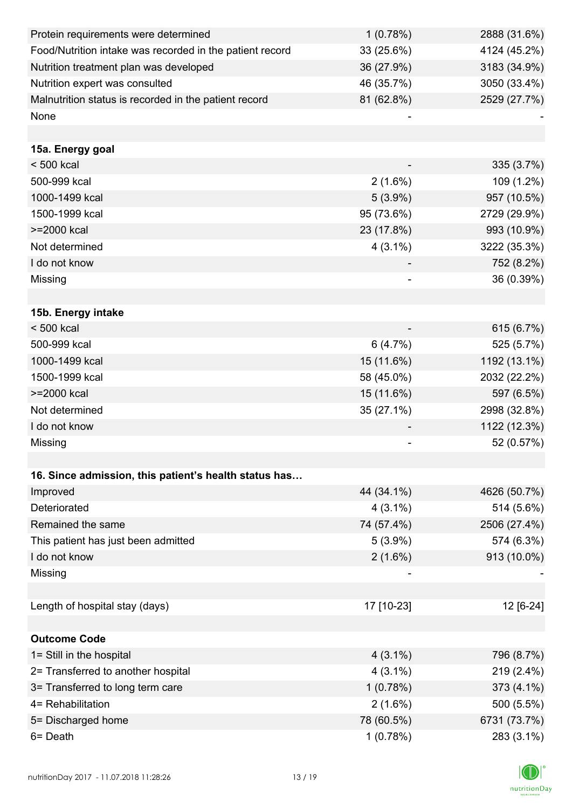| Protein requirements were determined                     | 1(0.78%)   | 2888 (31.6%) |
|----------------------------------------------------------|------------|--------------|
| Food/Nutrition intake was recorded in the patient record | 33 (25.6%) | 4124 (45.2%) |
| Nutrition treatment plan was developed                   | 36 (27.9%) | 3183 (34.9%) |
| Nutrition expert was consulted                           | 46 (35.7%) | 3050 (33.4%) |
| Malnutrition status is recorded in the patient record    | 81 (62.8%) | 2529 (27.7%) |
| None                                                     |            |              |
|                                                          |            |              |
| 15a. Energy goal                                         |            |              |
| $< 500$ kcal                                             |            | 335 (3.7%)   |
| 500-999 kcal                                             | $2(1.6\%)$ | 109 (1.2%)   |
| 1000-1499 kcal                                           | $5(3.9\%)$ | 957 (10.5%)  |
| 1500-1999 kcal                                           | 95 (73.6%) | 2729 (29.9%) |
| >=2000 kcal                                              | 23 (17.8%) | 993 (10.9%)  |
| Not determined                                           | $4(3.1\%)$ | 3222 (35.3%) |
| I do not know                                            |            | 752 (8.2%)   |
| Missing                                                  |            | 36 (0.39%)   |
|                                                          |            |              |
| 15b. Energy intake                                       |            |              |
| < 500 kcal                                               |            | 615 (6.7%)   |
| 500-999 kcal                                             | 6(4.7%)    | 525 (5.7%)   |
| 1000-1499 kcal                                           | 15 (11.6%) | 1192 (13.1%) |
| 1500-1999 kcal                                           | 58 (45.0%) | 2032 (22.2%) |
| >=2000 kcal                                              | 15 (11.6%) | 597 (6.5%)   |
| Not determined                                           | 35 (27.1%) | 2998 (32.8%) |
| I do not know                                            |            | 1122 (12.3%) |
| Missing                                                  |            | 52 (0.57%)   |
|                                                          |            |              |
| 16. Since admission, this patient's health status has    |            |              |
| Improved                                                 | 44 (34.1%) | 4626 (50.7%) |
| Deteriorated                                             | $4(3.1\%)$ | 514 (5.6%)   |
| Remained the same                                        | 74 (57.4%) | 2506 (27.4%) |
| This patient has just been admitted                      | $5(3.9\%)$ | 574 (6.3%)   |
| I do not know                                            | $2(1.6\%)$ | 913 (10.0%)  |
| Missing                                                  |            |              |
|                                                          |            |              |
| Length of hospital stay (days)                           | 17 [10-23] | 12 [6-24]    |
|                                                          |            |              |
| <b>Outcome Code</b>                                      |            |              |
| 1= Still in the hospital                                 | $4(3.1\%)$ | 796 (8.7%)   |
| 2= Transferred to another hospital                       | $4(3.1\%)$ | 219 (2.4%)   |
| 3= Transferred to long term care                         | 1(0.78%)   | 373 (4.1%)   |
| 4= Rehabilitation                                        | $2(1.6\%)$ | 500 (5.5%)   |
| 5= Discharged home                                       | 78 (60.5%) | 6731 (73.7%) |
| 6= Death                                                 | 1(0.78%)   | 283 (3.1%)   |

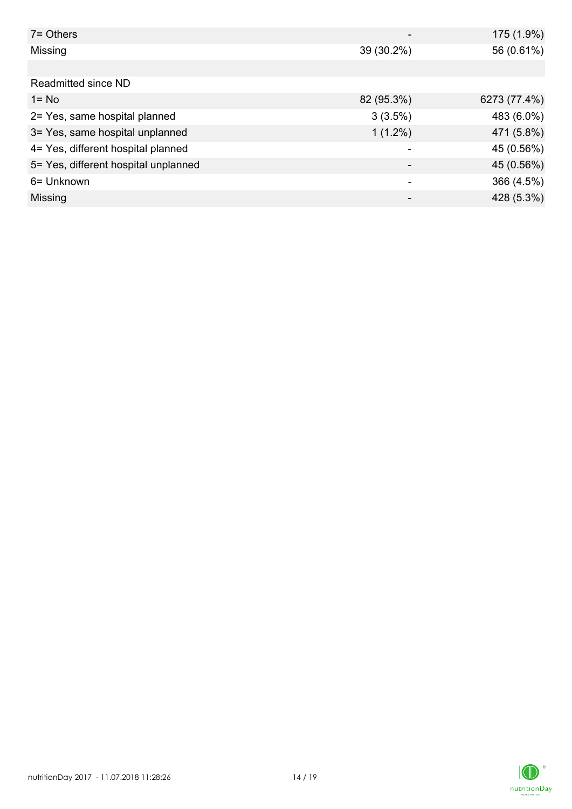| $7 =$ Others                         |            | 175 (1.9%)   |
|--------------------------------------|------------|--------------|
| Missing                              | 39 (30.2%) | 56 (0.61%)   |
|                                      |            |              |
| Readmitted since ND                  |            |              |
| $1 = No$                             | 82 (95.3%) | 6273 (77.4%) |
| 2= Yes, same hospital planned        | 3(3.5%)    | 483 (6.0%)   |
| 3= Yes, same hospital unplanned      | $1(1.2\%)$ | 471 (5.8%)   |
| 4= Yes, different hospital planned   |            | 45 (0.56%)   |
| 5= Yes, different hospital unplanned |            | 45 (0.56%)   |
| 6= Unknown                           |            | 366 (4.5%)   |
| Missing                              |            | 428 (5.3%)   |

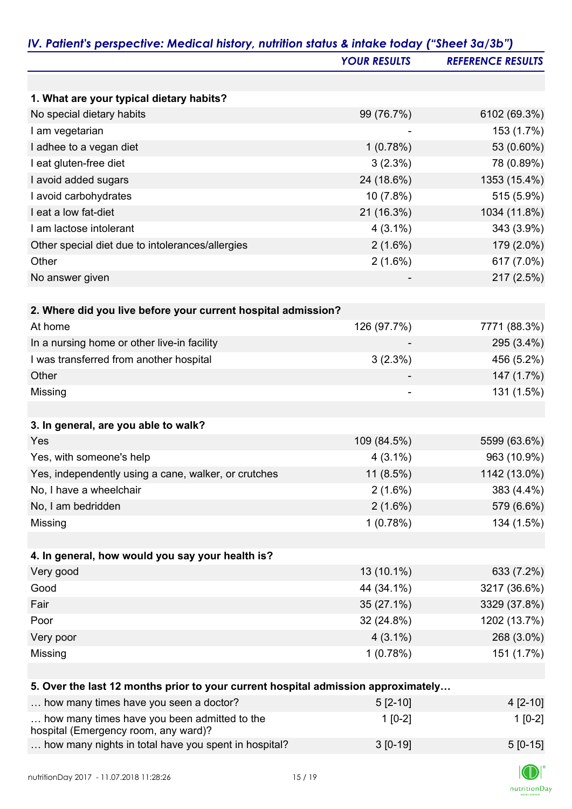|                                                                                      | <b>YOUR RESULTS</b> | <b>REFERENCE RESULTS</b> |
|--------------------------------------------------------------------------------------|---------------------|--------------------------|
|                                                                                      |                     |                          |
| 1. What are your typical dietary habits?                                             |                     |                          |
| No special dietary habits                                                            | 99 (76.7%)          | 6102 (69.3%)             |
| I am vegetarian                                                                      |                     | 153 (1.7%)               |
| I adhee to a vegan diet                                                              | 1(0.78%)            | 53 (0.60%)               |
| I eat gluten-free diet                                                               | 3(2.3%)             | 78 (0.89%)               |
| I avoid added sugars                                                                 | 24 (18.6%)          | 1353 (15.4%)             |
| I avoid carbohydrates                                                                | 10 (7.8%)           | 515 (5.9%)               |
| I eat a low fat-diet                                                                 | 21 (16.3%)          | 1034 (11.8%)             |
| I am lactose intolerant                                                              | $4(3.1\%)$          | 343 (3.9%)               |
| Other special diet due to intolerances/allergies                                     | $2(1.6\%)$          | 179 (2.0%)               |
| Other                                                                                | $2(1.6\%)$          | 617 (7.0%)               |
| No answer given                                                                      |                     | 217 (2.5%)               |
|                                                                                      |                     |                          |
| 2. Where did you live before your current hospital admission?                        |                     |                          |
| At home                                                                              | 126 (97.7%)         | 7771 (88.3%)             |
| In a nursing home or other live-in facility                                          |                     | 295 (3.4%)               |
| I was transferred from another hospital                                              | 3(2.3%)             | 456 (5.2%)               |
| Other                                                                                |                     | 147 (1.7%)               |
| Missing                                                                              | -                   | 131 (1.5%)               |
|                                                                                      |                     |                          |
| 3. In general, are you able to walk?                                                 |                     |                          |
| Yes                                                                                  | 109 (84.5%)         | 5599 (63.6%)             |
| Yes, with someone's help                                                             | $4(3.1\%)$          | 963 (10.9%)              |
| Yes, independently using a cane, walker, or crutches                                 | $11(8.5\%)$         | 1142 (13.0%)             |
| No, I have a wheelchair                                                              | $2(1.6\%)$          | 383 (4.4%)               |
| No, I am bedridden                                                                   | $2(1.6\%)$          | 579 (6.6%)               |
| Missing                                                                              | 1(0.78%)            | 134 (1.5%)               |
|                                                                                      |                     |                          |
| 4. In general, how would you say your health is?                                     |                     |                          |
| Very good                                                                            | 13 (10.1%)          | 633 (7.2%)               |
| Good                                                                                 | 44 (34.1%)          | 3217 (36.6%)             |
| Fair                                                                                 | 35 (27.1%)          | 3329 (37.8%)             |
| Poor                                                                                 | 32 (24.8%)          | 1202 (13.7%)             |
| Very poor                                                                            | $4(3.1\%)$          | 268 (3.0%)               |
| Missing                                                                              | 1(0.78%)            | 151 (1.7%)               |
|                                                                                      |                     |                          |
| 5. Over the last 12 months prior to your current hospital admission approximately    |                     |                          |
| how many times have you seen a doctor?                                               | $5[2-10]$           | $4[2-10]$                |
| how many times have you been admitted to the<br>hospital (Emergency room, any ward)? | $1[0-2]$            | $1[0-2]$                 |
| how many nights in total have you spent in hospital?                                 | $3 [0-19]$          | $5[0-15]$                |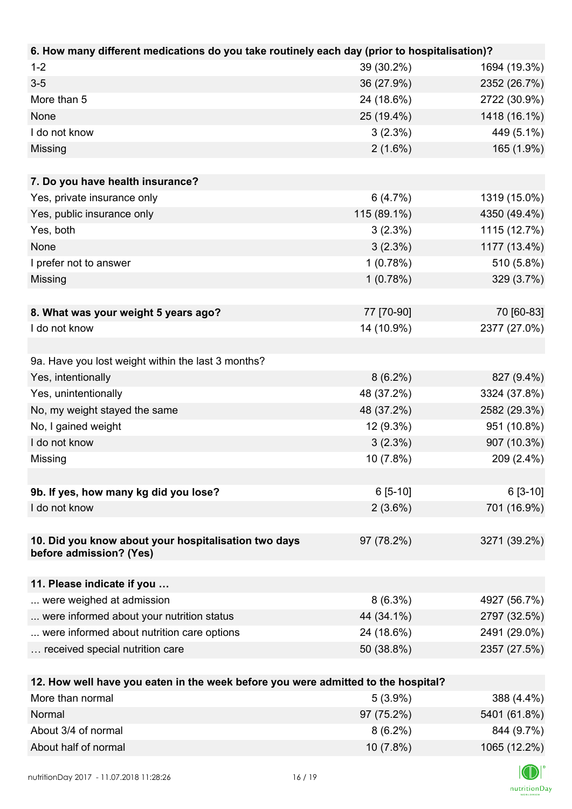| 6. How many different medications do you take routinely each day (prior to hospitalisation)? |             |              |
|----------------------------------------------------------------------------------------------|-------------|--------------|
| $1 - 2$                                                                                      | 39 (30.2%)  | 1694 (19.3%) |
| $3-5$                                                                                        | 36 (27.9%)  | 2352 (26.7%) |
| More than 5                                                                                  | 24 (18.6%)  | 2722 (30.9%) |
| None                                                                                         | 25 (19.4%)  | 1418 (16.1%) |
| I do not know                                                                                | 3(2.3%)     | 449 (5.1%)   |
| Missing                                                                                      | $2(1.6\%)$  | 165 (1.9%)   |
|                                                                                              |             |              |
| 7. Do you have health insurance?                                                             |             |              |
| Yes, private insurance only                                                                  | 6(4.7%)     | 1319 (15.0%) |
| Yes, public insurance only                                                                   | 115 (89.1%) | 4350 (49.4%) |
| Yes, both                                                                                    | 3(2.3%)     | 1115 (12.7%) |
| None                                                                                         | 3(2.3%)     | 1177 (13.4%) |
| I prefer not to answer                                                                       | 1(0.78%)    | 510 (5.8%)   |
| Missing                                                                                      | 1(0.78%)    | 329 (3.7%)   |
|                                                                                              |             |              |
| 8. What was your weight 5 years ago?                                                         | 77 [70-90]  | 70 [60-83]   |
| I do not know                                                                                | 14 (10.9%)  | 2377 (27.0%) |
|                                                                                              |             |              |
| 9a. Have you lost weight within the last 3 months?                                           |             |              |
| Yes, intentionally                                                                           | $8(6.2\%)$  | 827 (9.4%)   |
| Yes, unintentionally                                                                         | 48 (37.2%)  | 3324 (37.8%) |
| No, my weight stayed the same                                                                | 48 (37.2%)  | 2582 (29.3%) |
| No, I gained weight                                                                          | 12 (9.3%)   | 951 (10.8%)  |
| I do not know                                                                                | $3(2.3\%)$  | 907 (10.3%)  |
| Missing                                                                                      | 10 (7.8%)   | 209 (2.4%)   |
|                                                                                              |             |              |
| 9b. If yes, how many kg did you lose?                                                        | $6[5-10]$   | $6[3-10]$    |
| I do not know                                                                                | $2(3.6\%)$  | 701 (16.9%)  |
|                                                                                              |             |              |
| 10. Did you know about your hospitalisation two days<br>before admission? (Yes)              | 97 (78.2%)  | 3271 (39.2%) |
|                                                                                              |             |              |
| 11. Please indicate if you                                                                   |             |              |
| were weighed at admission                                                                    | $8(6.3\%)$  | 4927 (56.7%) |
| were informed about your nutrition status                                                    | 44 (34.1%)  | 2797 (32.5%) |
| were informed about nutrition care options                                                   | 24 (18.6%)  | 2491 (29.0%) |
| received special nutrition care                                                              | 50 (38.8%)  | 2357 (27.5%) |
|                                                                                              |             |              |
| 12. How well have you eaten in the week before you were admitted to the hospital?            |             |              |
| More than normal                                                                             | $5(3.9\%)$  | 388 (4.4%)   |
| <b>Normal</b>                                                                                | 07/75.20(1) | 5101(6180)   |

| More than normal     | $5(3.9\%)$  | 388 (4.4%)   |
|----------------------|-------------|--------------|
| Normal               | 97 (75.2%)  | 5401 (61.8%) |
| About 3/4 of normal  | $8(6.2\%)$  | 844 (9.7%)   |
| About half of normal | $10(7.8\%)$ | 1065 (12.2%) |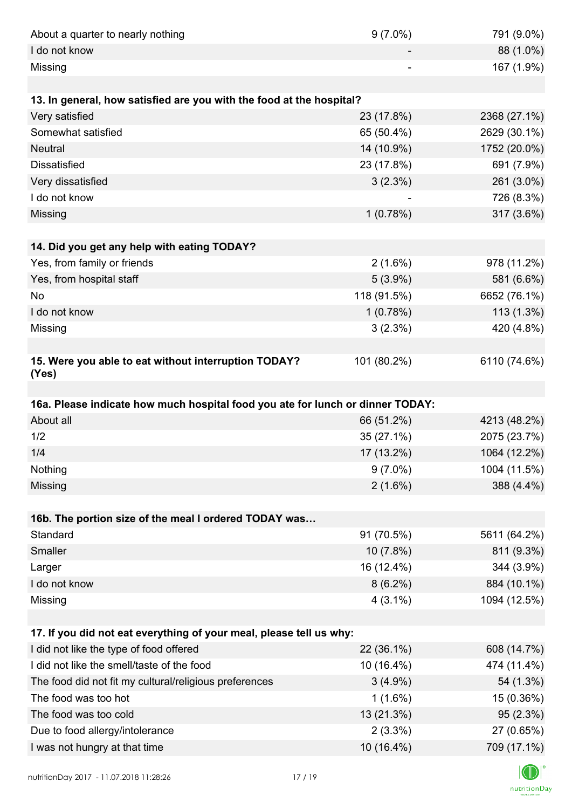| About a quarter to nearly nothing                                              | $9(7.0\%)$  | 791 (9.0%)   |
|--------------------------------------------------------------------------------|-------------|--------------|
| I do not know                                                                  |             | 88 (1.0%)    |
| Missing                                                                        |             | 167 (1.9%)   |
|                                                                                |             |              |
| 13. In general, how satisfied are you with the food at the hospital?           |             |              |
| Very satisfied                                                                 | 23 (17.8%)  | 2368 (27.1%) |
| Somewhat satisfied                                                             | 65 (50.4%)  | 2629 (30.1%) |
| <b>Neutral</b>                                                                 | 14 (10.9%)  | 1752 (20.0%) |
| <b>Dissatisfied</b>                                                            | 23 (17.8%)  | 691 (7.9%)   |
| Very dissatisfied                                                              | 3(2.3%)     | 261 (3.0%)   |
| I do not know                                                                  |             | 726 (8.3%)   |
| Missing                                                                        | 1(0.78%)    | 317 (3.6%)   |
|                                                                                |             |              |
| 14. Did you get any help with eating TODAY?                                    |             |              |
| Yes, from family or friends                                                    | $2(1.6\%)$  | 978 (11.2%)  |
| Yes, from hospital staff                                                       | $5(3.9\%)$  | 581 (6.6%)   |
| <b>No</b>                                                                      | 118 (91.5%) | 6652 (76.1%) |
| I do not know                                                                  | 1(0.78%)    | 113 (1.3%)   |
| Missing                                                                        | 3(2.3%)     | 420 (4.8%)   |
|                                                                                |             |              |
| 15. Were you able to eat without interruption TODAY?                           | 101 (80.2%) | 6110 (74.6%) |
| (Yes)                                                                          |             |              |
|                                                                                |             |              |
| 16a. Please indicate how much hospital food you ate for lunch or dinner TODAY: |             |              |
| About all                                                                      | 66 (51.2%)  | 4213 (48.2%) |
| 1/2                                                                            | 35 (27.1%)  | 2075 (23.7%) |
| 1/4                                                                            | 17 (13.2%)  | 1064 (12.2%) |
| Nothing                                                                        | $9(7.0\%)$  | 1004 (11.5%) |
| Missing                                                                        | $2(1.6\%)$  | 388 (4.4%)   |
|                                                                                |             |              |
| 16b. The portion size of the meal I ordered TODAY was                          |             |              |
| Standard                                                                       | 91 (70.5%)  | 5611 (64.2%) |
| Smaller                                                                        | 10 (7.8%)   | 811 (9.3%)   |
| Larger                                                                         | 16 (12.4%)  | 344 (3.9%)   |
| I do not know                                                                  | $8(6.2\%)$  | 884 (10.1%)  |
| Missing                                                                        | $4(3.1\%)$  | 1094 (12.5%) |
|                                                                                |             |              |
| 17. If you did not eat everything of your meal, please tell us why:            |             |              |
| I did not like the type of food offered                                        | 22 (36.1%)  | 608 (14.7%)  |
| I did not like the smell/taste of the food                                     | 10 (16.4%)  | 474 (11.4%)  |
| The food did not fit my cultural/religious preferences                         | $3(4.9\%)$  | 54 (1.3%)    |
| The food was too hot                                                           | $1(1.6\%)$  | 15 (0.36%)   |
| The food was too cold                                                          | 13 (21.3%)  | 95 (2.3%)    |
| Due to food allergy/intolerance                                                | $2(3.3\%)$  | 27 (0.65%)   |
| I was not hungry at that time                                                  | 10 (16.4%)  | 709 (17.1%)  |
|                                                                                |             |              |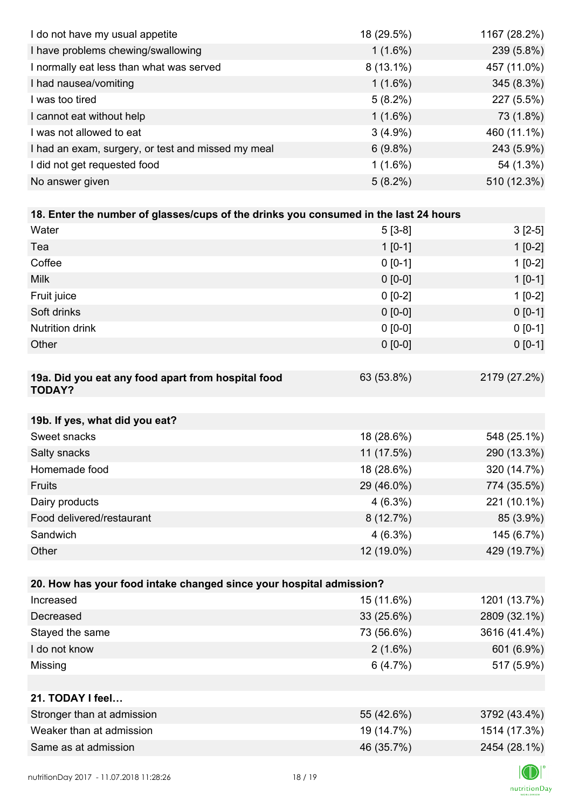| I do not have my usual appetite                                                      | 18 (29.5%)  | 1167 (28.2%) |
|--------------------------------------------------------------------------------------|-------------|--------------|
| I have problems chewing/swallowing                                                   | $1(1.6\%)$  | 239 (5.8%)   |
| I normally eat less than what was served                                             | $8(13.1\%)$ | 457 (11.0%)  |
| I had nausea/vomiting                                                                | $1(1.6\%)$  | 345 (8.3%)   |
| I was too tired                                                                      | $5(8.2\%)$  | 227 (5.5%)   |
| I cannot eat without help                                                            | $1(1.6\%)$  | 73 (1.8%)    |
| I was not allowed to eat                                                             | $3(4.9\%)$  | 460 (11.1%)  |
| I had an exam, surgery, or test and missed my meal                                   | $6(9.8\%)$  | 243 (5.9%)   |
| I did not get requested food                                                         | $1(1.6\%)$  | 54 (1.3%)    |
| No answer given                                                                      | $5(8.2\%)$  | 510 (12.3%)  |
|                                                                                      |             |              |
| 18. Enter the number of glasses/cups of the drinks you consumed in the last 24 hours |             |              |
| Water                                                                                | $5[3-8]$    | $3[2-5]$     |
| Tea                                                                                  | $1$ [0-1]   | $1[0-2]$     |
| Coffee                                                                               | $0 [0-1]$   | $1[0-2]$     |
| <b>Milk</b>                                                                          | $0 [0-0]$   | $1 [0-1]$    |
| Fruit juice                                                                          | $0 [0-2]$   | $1[0-2]$     |
| Soft drinks                                                                          | $0 [0-0]$   | $0 [0-1]$    |
| <b>Nutrition drink</b>                                                               | $0 [0-0]$   | $0 [0-1]$    |
| Other                                                                                | $0 [0-0]$   | $0 [0-1]$    |
|                                                                                      |             |              |
| 19a. Did you eat any food apart from hospital food<br><b>TODAY?</b>                  | 63 (53.8%)  | 2179 (27.2%) |
| 19b. If yes, what did you eat?                                                       |             |              |
| Sweet snacks                                                                         | 18 (28.6%)  | 548 (25.1%)  |
| Salty snacks                                                                         | 11 (17.5%)  | 290 (13.3%)  |
| Homemade food                                                                        | 18 (28.6%)  | 320 (14.7%)  |
| Fruits                                                                               | 29 (46.0%)  | 774 (35.5%)  |
| Dairy products                                                                       | $4(6.3\%)$  | 221 (10.1%)  |
| Food delivered/restaurant                                                            | 8(12.7%)    | 85 (3.9%)    |
| Sandwich                                                                             | 4(6.3%)     | 145 (6.7%)   |
| Other                                                                                | 12 (19.0%)  | 429 (19.7%)  |
|                                                                                      |             |              |
| 20. How has your food intake changed since your hospital admission?                  |             |              |
| Increased                                                                            | 15 (11.6%)  | 1201 (13.7%) |
| Decreased                                                                            | 33 (25.6%)  | 2809 (32.1%) |
| Stayed the same                                                                      | 73 (56.6%)  | 3616 (41.4%) |
| I do not know                                                                        | $2(1.6\%)$  | 601 (6.9%)   |
| Missing                                                                              | 6(4.7%)     | 517 (5.9%)   |
|                                                                                      |             |              |
| 21. TODAY I feel                                                                     |             |              |
| Stronger than at admission                                                           | 55 (42.6%)  | 3792 (43.4%) |
| Weaker than at admission                                                             | 19 (14.7%)  | 1514 (17.3%) |
| Same as at admission                                                                 | 46 (35.7%)  | 2454 (28.1%) |
|                                                                                      |             |              |